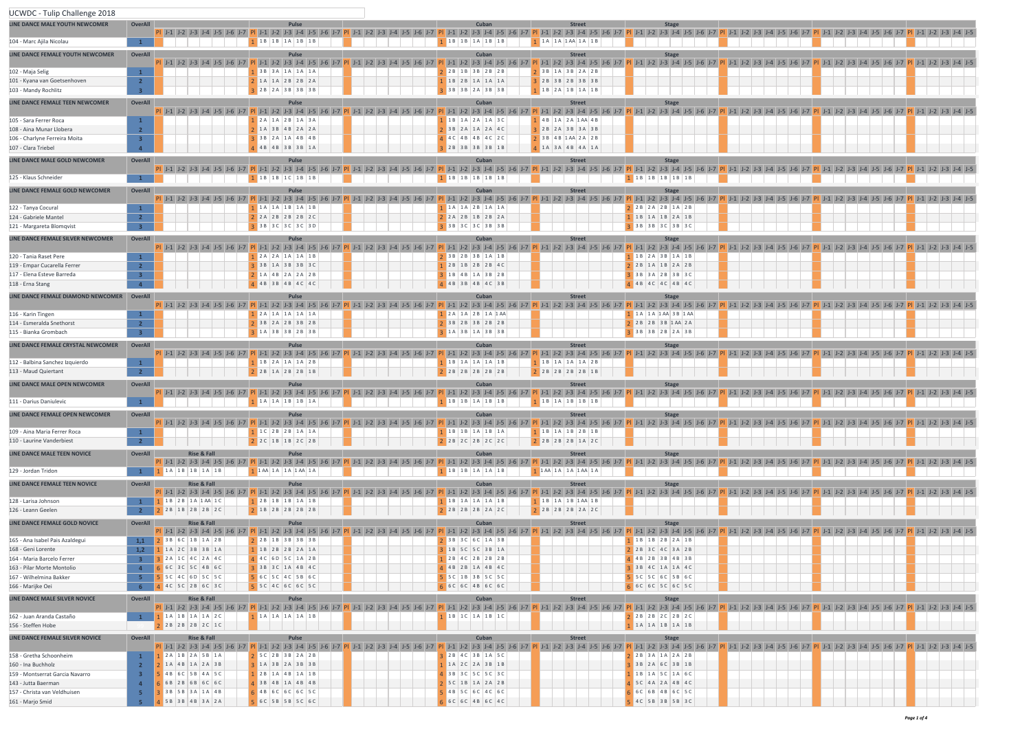| UCWDC - Tulip Challenge 2018                             |                |                                                                                                                        |                                                 |                                                           |                                                    |                                            |                                                  |                                            |                                                                                                                                                                                                                                          |
|----------------------------------------------------------|----------------|------------------------------------------------------------------------------------------------------------------------|-------------------------------------------------|-----------------------------------------------------------|----------------------------------------------------|--------------------------------------------|--------------------------------------------------|--------------------------------------------|------------------------------------------------------------------------------------------------------------------------------------------------------------------------------------------------------------------------------------------|
| LINE DANCE MALE YOUTH NEWCOMER                           | <b>OverAll</b> |                                                                                                                        | Pulse                                           | Cuban                                                     |                                                    | <b>Street</b>                              | <b>Stage</b>                                     |                                            |                                                                                                                                                                                                                                          |
|                                                          |                | P J-1 J-2 J-3 J-4 J-5 J-6 J-7 P J-1 J-2 J-3 J-4 J-5                                                                    |                                                 | $J-2$ J-3 J-4 J-5                                         |                                                    |                                            | $J-1$ J-2 J-3 J-4 J-5 J-6 J-7                    |                                            | J-1 J-2 J-3 J-4 J-5 J-6 J-7 PI J-1 J-2 J-3 J-4 J-5 J-6 J-7 PI J-1 J-2 J-3 J-4 J-5                                                                                                                                                        |
| 104 - Marc Ajila Nicolau                                 | $\mathbf{1}$   |                                                                                                                        | $1$ 1B 1B 1A 1B 1B                              | 1 B   1 B   1 A   1 B   1 B                               |                                                    | $1A   1A   1AA   1A   1B$                  |                                                  |                                            |                                                                                                                                                                                                                                          |
| LINE DANCE FEMALE YOUTH NEWCOMER                         | <b>OverAll</b> |                                                                                                                        | Pulse                                           | Cuban                                                     |                                                    | <b>Street</b>                              | <b>Stage</b>                                     |                                            |                                                                                                                                                                                                                                          |
| 102 - Maja Selig                                         |                | PI J-1 J-2 J-3 J-4 J-5 J-6 J-7 PI J-1 J-2 J-3 J-4 J-5 J-6 J-7 PI                                                       | $3B$ 3A 1A 1A 1A                                | $1-1$ $1-2$ $1-3$ $1-4$ $1-5$<br>$2B   1B   3B   2B   2B$ |                                                    | 2 3 B 1 A 3 B 2 A 2 B                      |                                                  |                                            | J-1 J-2 J-3 J-4 J-5 J-6 J-7 <mark>PI</mark> J-1 J-2 J-3 J-4 J-5 J-6 J-7 PI J-1 J-2 J-3 J-4 J-5 J-6 J-7 <mark>PI</mark> J-1 J-2 J-3 J-4 J-5 J-6 J-7 <mark>PI</mark> J-1 J-2 J-3 J-4 J-5 J-6 J-7 <mark>PI</mark> J-1 J-2 J-3 J-4 J-5       |
| 101 - Kyana van Goetsenhoven                             |                |                                                                                                                        |                                                 |                                                           |                                                    | 3 2 B 3 B 2 B 3 B 3 B                      |                                                  |                                            |                                                                                                                                                                                                                                          |
| 103 - Mandy Rochlitz                                     |                |                                                                                                                        | 3 2 B 2 A 3 B 3 B 3 B                           | 3 3 B 3 B 2 A 3 B 3 B                                     |                                                    | $1$ 1B 2A 1B 1A 1B                         |                                                  |                                            |                                                                                                                                                                                                                                          |
| LINE DANCE FEMALE TEEN NEWCOMER                          | <b>OverAll</b> |                                                                                                                        | Pulse                                           | Cuban                                                     |                                                    | <b>Street</b>                              | <b>Stage</b>                                     |                                            |                                                                                                                                                                                                                                          |
|                                                          |                | PI J-1 J-2 J-3 J-4 J-5 J-6 J-7                                                                                         | $J-1$ $J-2$                                     |                                                           |                                                    |                                            | $J-3$ $J-4$                                      | J-5 J-6 J-7 PI J-1 J-2 J-3 J-4 J-5 J-6 J-7 | J-1 J-2 J-3 J-4 J-5 J-6 J-7 PI J-1 J-2 J-3 J-4 J-5                                                                                                                                                                                       |
| 105 - Sara Ferrer Roca                                   |                |                                                                                                                        | $2A 1A 2B 1A 3A$                                | 1B 1A 2A 1A 3C                                            |                                                    | $4B   1A   2A   1AA   4B$                  |                                                  |                                            |                                                                                                                                                                                                                                          |
| 108 - Aina Munar Llobera                                 |                |                                                                                                                        | 1A 3B 4B 2A 2A                                  | $3B$ 2A 1A 2A 4C                                          |                                                    | 3 2 B 2 A 3 B 3 A 3 B                      |                                                  |                                            |                                                                                                                                                                                                                                          |
| 106 - Charlyne Ferreira Moita<br>107 - Clara Triebel     |                |                                                                                                                        | $3B$ 2A 1A 4B 4B<br>4 4 B 4 B 3 B 3 B 1 A       | $1$ 4 C 4 B 4 B 4 C 2 C<br>3 2 B 3 B 3 B 3 B 1 B          |                                                    | 2 3 B 4 B 1 AA 2 A 2 B<br>4 1A 3A 4B 4A 1A |                                                  |                                            |                                                                                                                                                                                                                                          |
|                                                          |                |                                                                                                                        |                                                 |                                                           |                                                    |                                            |                                                  |                                            |                                                                                                                                                                                                                                          |
| LINE DANCE MALE GOLD NEWCOMER                            | <b>OverAll</b> | PI J-1 J-2 J-3 J-4 J-5 J-6 J-7 PI J-1 J-2 J-3 J-4 J-5                                                                  | Pulse                                           | Cuban                                                     | $J-1$ $J-2$                                        | <b>Street</b>                              | <b>Stage</b><br>$J-1$ $J-2$<br>$ -3 $ $ -4 $     |                                            | J-2   J-3   J-4   J-5   J-6   J-7   PI   J-1   J-2   J-3   J-4   J-5                                                                                                                                                                     |
| 125 - Klaus Schneider                                    | $\mathbf{1}$   |                                                                                                                        | $1$ 1 B 1 B 1 C 1 B 1 B                         | $1$ 18 18 18 18 18                                        |                                                    |                                            | $1$ 1B 1B 1B 1B 1B 1B                            |                                            |                                                                                                                                                                                                                                          |
| LINE DANCE FEMALE GOLD NEWCOMER                          | <b>OverAll</b> |                                                                                                                        | Pulse                                           | Cuban                                                     |                                                    | <b>Street</b>                              | <b>Stage</b>                                     |                                            |                                                                                                                                                                                                                                          |
|                                                          |                | PI J-1 J-2 J-3 J-4 J-5 J-6 J-7 PI J-1 J-2 J-3 J-4 J-5 J-6 J-7                                                          |                                                 | $J-3$ J-4 J-5                                             | $PI$ J-1 J-2                                       |                                            |                                                  |                                            | J-1 J-2 J-3 J-4 J-5 J-6 J-7 PI J-1 J-2 J-3 J-4 J-5 J-6 J-7 PI J-1 J-2 J-3 J-4 J-5 J-6 J-7 PI J-1 J-2 J-3 J-4 J-5                                                                                                                         |
| 122 - Tanya Cocural                                      |                |                                                                                                                        | $1A$ $1A$ $1B$ $1A$ $1B$                        | $1A$ $1A$ $2B$ $1A$ $1A$                                  |                                                    |                                            | 2 2 B 2 A 2 B 1 A 2 B                            |                                            |                                                                                                                                                                                                                                          |
| 124 - Gabriele Mantel                                    |                |                                                                                                                        | 2 2 4 2 B 2 B 2 B 2 C                           | 2A 2B 1B 2B 2A                                            |                                                    |                                            | $1B$ 1A 1B 2A 1B                                 |                                            |                                                                                                                                                                                                                                          |
| 121 - Margareta Blomqvist                                |                |                                                                                                                        | $3 3 B 3 C 3 C 3 C 3 C 3 D$                     | $3 3B   3C   3C   3B   3B$                                |                                                    |                                            | $3$ 3 B 3 B 3 C 3 B 3 C                          |                                            |                                                                                                                                                                                                                                          |
| LINE DANCE FEMALE SILVER NEWCOMER                        | <b>OverAll</b> |                                                                                                                        | <b>Pulse</b>                                    | Cuban                                                     |                                                    | <b>Street</b>                              | <b>Stage</b>                                     |                                            |                                                                                                                                                                                                                                          |
|                                                          |                | PI J-1 J-2 J-3 J-4 J-5 J-6 J-7                                                                                         |                                                 |                                                           |                                                    |                                            |                                                  |                                            | J-1 J-2 J-3 J-4 J-5 J-6 J-7 PI J-1 J-2 J-3 J-4 J-5 J-6 J-7 PI J-1 J-2 J-3 J-4 J-5                                                                                                                                                        |
| 120 - Tania Raset Pere<br>119 - Empar Cucarella Ferrer   |                |                                                                                                                        | $2A 2A 1A 1A 1B$<br>$3B$ 1A 3B 3B 3C            | 3B 2B 3B 1A 1B<br>$2B$ 1B 2B 2B 4C                        |                                                    |                                            | 2 2 B 1 A 1 B 2 A 2 B                            |                                            |                                                                                                                                                                                                                                          |
| 117 - Elena Esteve Barreda                               |                |                                                                                                                        | $1A 4B 2A 2A 2B$                                | 1 B 4 B 1 A 3 B 2 B                                       |                                                    |                                            | $3$ 3B 3A 2B 3B 3C                               |                                            |                                                                                                                                                                                                                                          |
| 118 - Erna Stang                                         |                |                                                                                                                        | 4 B 3 B 4 B 4 C 4 C                             | 4 4 B 3 B 4 B 4 C 3 B                                     |                                                    |                                            | 4 B 4 C 4 C 4 B 4 C                              |                                            |                                                                                                                                                                                                                                          |
| LINE DANCE FEMALE DIAMOND NEWCOMER                       | OverAll        |                                                                                                                        | <b>Pulse</b>                                    | Cuban                                                     |                                                    | <b>Street</b>                              | <b>Stage</b>                                     |                                            |                                                                                                                                                                                                                                          |
|                                                          |                | PI J-1 J-2 J-3 J-4 J-5 J-6 J-7                                                                                         | $P$ 1-1 1-2 1-3 1-4 1-5                         |                                                           |                                                    |                                            | $ 1-2 $ $ -3$ $ -4$ $ 1-5 $ $ -6$ $ 1-7 $        |                                            | P J-1 J-2 J-3 J-4 J-5 J-6 J-7 P J-1 J-2 J-3 J-4 J-5 J-6 J-7 P J-1 J-2 J-3 J-4 J-5                                                                                                                                                        |
| 116 - Karin Tingen                                       |                |                                                                                                                        | $2A 1A 1A 1A 1A 1A$                             | $2A   1A   2B   1A   1AA$                                 |                                                    |                                            | $1$ 1 A $1$ A $1$ AA $3$ B $1$ AA                |                                            |                                                                                                                                                                                                                                          |
| 114 - Esmeralda Snethorst                                |                |                                                                                                                        | 3 B 2 A 2 B 3 B 2 B                             | 3 B 2 B 3 B 2 B 2 B                                       |                                                    |                                            | 2 2 B 2 B 3 B 1 AA 2 A                           |                                            |                                                                                                                                                                                                                                          |
| 115 - Bianka Grombach                                    |                |                                                                                                                        | $3$ 1A 3B 3B 2B 3B                              | $3$ 1A 3B 1A 3B 3B                                        |                                                    |                                            | 3 3 B 3 B 2 B 2 A 3 B                            |                                            |                                                                                                                                                                                                                                          |
| LINE DANCE FEMALE CRYSTAL NEWCOMER                       | <b>OverAll</b> |                                                                                                                        | Pulse                                           | Cuban                                                     |                                                    | <b>Street</b>                              | <b>Stage</b>                                     |                                            |                                                                                                                                                                                                                                          |
|                                                          |                | $PI$ J-1 J-2 J-3 J-4 J-5 J-6 J-7                                                                                       | $1 - 1$ J-2 J-3 J-4 J-5 J-6<br>$1B$ 2A 1A 1A 2B | $1-3$ $1-4$ $1-5$<br>1B 1A 1A 1A 1B                       |                                                    | $1B$ 1A 1A 1A 1A 2B                        |                                                  |                                            | J-1 J-2 J-3 J-4 J-5 J-6 J-7 PI J-1 J-2 J-3 J-4 J-5 J-6 J-7 PI J-1 J-2 J-3 J-4 J-5 J-6 J-7 PI J-1 J-2 J-3 J-4 J-5                                                                                                                         |
| 112 - Balbina Sanchez Izquierdo<br>113 - Maud Quiertant  |                |                                                                                                                        | 2 2 B 1 A 2 B 2 B 1 B                           | 2 2 B 2 B 2 B 2 B 2 B                                     |                                                    | 2 2 B 2 B 2 B 2 B 1 B                      |                                                  |                                            |                                                                                                                                                                                                                                          |
| LINE DANCE MALE OPEN NEWCOMER                            | <b>OverAll</b> |                                                                                                                        | <b>Pulse</b>                                    | Cuban                                                     |                                                    |                                            |                                                  |                                            |                                                                                                                                                                                                                                          |
|                                                          |                | $PI$ J-1 J-2 J-3 J-4 J-5 J-6 J-7                                                                                       | $P$ $J-1$ $J-2$ $J-3$ $J-4$ $J-5$               | $1-2$ $1-3$ $1-4$ $1-5$                                   |                                                    | <b>Street</b>                              |                                                  |                                            | J-1 J-2 J-3 J-4 J-5 J-6 J-7 PI J-1 J-2 J-3 J-4 J-5                                                                                                                                                                                       |
| 111 - Darius Daniulevic                                  |                |                                                                                                                        | $1$ 1A 1A 1B 1B 1A                              | $1B   1B   1A   1B   1B$                                  |                                                    | $1$ 1B 1A 1B 1B 1B                         |                                                  |                                            |                                                                                                                                                                                                                                          |
| LINE DANCE FEMALE OPEN NEWCOMER                          | <b>OverAll</b> |                                                                                                                        | <b>Pulse</b>                                    | Cuban                                                     |                                                    | <b>Street</b>                              | <b>Stage</b>                                     |                                            |                                                                                                                                                                                                                                          |
|                                                          |                | PI J-1 J-2 J-3 J-4 J-5 J-6 J-7 PI J-1 J-2 J-3 J-4 J-5 J-6                                                              |                                                 |                                                           |                                                    |                                            |                                                  |                                            | PI J-1 J-2 J-3 J-4 J-5 J-6 J-7 PI J-1 J-2 J-3 J-4 J-5 J-6 J-7 PI J-1 J-2 J-3 J-4 J-5 J-6 J-7 PI J-1 J-2 J-3 J-4 J-5                                                                                                                      |
| 109 - Aina Maria Ferrer Roca                             |                |                                                                                                                        | $1C$ 2B 2B 1A 1A                                | $1B   1B   1A   1B   1A$                                  |                                                    | $1$ 1B 1A 1B 2B 1B                         |                                                  |                                            |                                                                                                                                                                                                                                          |
| 110 - Laurine Vanderbiest                                |                |                                                                                                                        | 2 2 C 1 B 1 B 2 C 2 B                           | 2B 2C 2B 2C 2C                                            |                                                    | 2 2 B 2 B 2 B 1 A 2 C                      |                                                  |                                            |                                                                                                                                                                                                                                          |
| <b>LINE DANCE MALE TEEN NOVICE</b>                       | <b>OverAll</b> | <b>Rise &amp; Fall</b>                                                                                                 | <b>Pulse</b>                                    | Cuban                                                     |                                                    | <b>Street</b>                              | <b>Stage</b>                                     |                                            |                                                                                                                                                                                                                                          |
| 129 - Jordan Tridon                                      |                | PI J-1 J-2 J-3 J-4 J-5 J-6 J-7<br>$1A$ $1B$ $1B$ $1A$ $1B$                                                             | $J-3$ J-4<br>1 1 AA 1 A 1 A 1 AA 1 A            | $J-2$ J-3 J-4 J-5<br>1B 1B 1A 1A 1B                       |                                                    | $1 AA 1 A 1 A 1 AA 1 A$                    |                                                  |                                            | J-1 J-2 J-3 J-4 J-5 J-6 J-7 <mark>PI</mark> J-1 J-2 J-3 J-4 J-5                                                                                                                                                                          |
|                                                          |                |                                                                                                                        |                                                 |                                                           |                                                    |                                            |                                                  |                                            |                                                                                                                                                                                                                                          |
| LINE DANCE FEMALE TEEN NOVICE                            | <b>OverAll</b> | <b>Rise &amp; Fall</b><br>$P1 J-1 J-2 J-3 J-4 J-5 J-6 J-7$                                                             | <b>Pulse</b>                                    | Cuban                                                     |                                                    | <b>Street</b>                              | <b>Stage</b>                                     |                                            | PI J-1 J-2 J-3 J-4 J-5 J-6 J-7 <mark>PI</mark> J-1 J-2 J-3 J-4 J-5 J-6 J-7 <mark>PI</mark> J-1 J-2 J-3 J-4 J-5                                                                                                                           |
| 128 - Larisa Johnson                                     |                | $1B$ 2 B 1 A 1 A 4 1 C                                                                                                 | $1$ 2B 1B 1B 1A 1B                              | 1B 1A 1A 1A 1B                                            |                                                    | 1 1 B 1 A 1 B 1 AA 1 B                     |                                                  |                                            |                                                                                                                                                                                                                                          |
| 126 - Leann Geelen                                       |                | $2B$ 1B 2B 2B 2C                                                                                                       | 2 1B 2B 2B 2B 2B                                | $2$ 2B 2B 2B 2A 2C                                        |                                                    | 2 2 B 2 B 2 B 2 A 2 C                      |                                                  |                                            |                                                                                                                                                                                                                                          |
| LINE DANCE FEMALE GOLD NOVICE                            | <b>OverAll</b> | <b>Rise &amp; Fall</b>                                                                                                 | Pulse                                           | Cuban                                                     |                                                    | <b>Street</b>                              | <b>Stage</b>                                     |                                            |                                                                                                                                                                                                                                          |
|                                                          |                | P J-1 J-2 J-3 J-4 J-5 J-6 J-7 P J-1 J-2                                                                                |                                                 | $1-2$ $1-3$ $1-4$                                         | $ -1 $ $ -2 $ $ -3 $                               |                                            |                                                  |                                            | J-1 J-2 J-3 J-4 J-5 J-6 J-7 PI J-1 J-2 J-3 J-4 J-5 J-6 J-7 PI J-1 J-2 J-3 J-4 J-5                                                                                                                                                        |
| 165 - Ana Isabel Pais Azaldegui                          | 1,1            | $3B 6C 1B 1A 2B$                                                                                                       | 2 2 B 1 B 3 B 3 B 3 B                           | $3B$ 3C 6C 1A 3B                                          |                                                    |                                            | $1B$ 18 18 28 24 18                              |                                            |                                                                                                                                                                                                                                          |
| 168 - Geni Lorente                                       | 1,2            | $1A$ 2C 3B 3B 1A                                                                                                       | $1B$ 2B 2B 2A 1A<br>$4$ 4 C 6 D 5 C 1 A 2 B     | $1B$ $5C$ $5C$ $3B$ $1A$<br>$2B$ 4C 2B 2B 2B              |                                                    |                                            | 2 2 B 3 C 4 C 3 A 2 B<br>$4$ 4 B 2 B 3 B 4 B 3 B |                                            |                                                                                                                                                                                                                                          |
| 164 - Maria Barcelo Ferrer<br>163 - Pilar Morte Montolio |                | 6 6 6 3 6 5 6 4 B 6 C                                                                                                  | 3 3 B 3 C 1 A 4 B 4 C                           | 4 4 B 2 B 1 A 4 B 4 C                                     |                                                    |                                            | $3$ 3 B 4 C 1 A 1 A 4 C                          |                                            |                                                                                                                                                                                                                                          |
| 167 - Wilhelmina Bakker                                  |                | $5$ 5C 4C 6D 5C 5C                                                                                                     | 5 6C 5C 4C 5B 6C                                | $5$ 5 C 1 B 3 B 5 C 5 C                                   |                                                    |                                            | $5$ 5C 5C 6C 5B 6C                               |                                            |                                                                                                                                                                                                                                          |
| 166 - Marijke Oei                                        |                | $4C$ 5C 2B 6C 3C                                                                                                       | $5$ 5C 4C 6C 6C 5C                              |                                                           |                                                    |                                            | 6 6 6 6 6 5 6 6 5 6 $ 5c $                       |                                            |                                                                                                                                                                                                                                          |
| LINE DANCE MALE SILVER NOVICE                            | <b>OverAll</b> | <b>Rise &amp; Fall</b>                                                                                                 | Pulse                                           | Cuban                                                     |                                                    | <b>Street</b>                              | <b>Stage</b>                                     |                                            |                                                                                                                                                                                                                                          |
|                                                          |                | PI J-1 J-2 J-3 J-4 J-5 J-6 J-7 <mark>PI</mark> J-1 J-2 J-3 J-4 J-5 J-6 J-7 <mark>PI</mark> J-1 J-2 J-3 J-4 J-5 J-6 J-7 |                                                 |                                                           | J-1 J-2 J-3 J-4 J-5 J-6 J-7 PI J-1 J-2 J-3 J-4 J-5 |                                            |                                                  |                                            | PI J-1 J-2 J-3 J-4 J-5 J-6 J-7 PI J-1 J-2 J-3 J-4 J-5 J-6 J-7 PI J-1 J-2 J-3 J-4 J-5 J-6 J-7 PI J-1 J-2 J-3 J-4 J-5                                                                                                                      |
| 162 - Juan Aranda Castaño                                |                |                                                                                                                        |                                                 | $1B   1C   1A   1B   1C$                                  |                                                    |                                            | $2$ 2 B 2 B 2 C 2 B 2 C                          |                                            |                                                                                                                                                                                                                                          |
|                                                          | $\mathbf{1}$   |                                                                                                                        |                                                 |                                                           |                                                    |                                            | $1$ 1A 1A 1B 1A 1B                               |                                            |                                                                                                                                                                                                                                          |
| 156 - Steffen Hobe                                       |                | $2$ 2 B 2 B 2 B 2 C 1 C                                                                                                |                                                 |                                                           |                                                    |                                            |                                                  |                                            |                                                                                                                                                                                                                                          |
| LINE DANCE FEMALE SILVER NOVICE                          | <b>OverAll</b> | <b>Rise &amp; Fall</b>                                                                                                 | Pulse                                           | Cuban                                                     |                                                    | <b>Street</b>                              | <b>Stage</b>                                     |                                            |                                                                                                                                                                                                                                          |
|                                                          |                |                                                                                                                        |                                                 |                                                           |                                                    |                                            |                                                  |                                            | PI J-1 J-2 J-3 J-4 J-5 J-6 J-7 PI J-1 J-2 J-3 J-4 J-5 J-6 J-7 <mark>PI</mark> J-1 J-2 J-3 J-4 J-5 J-6 J-7 PI J-1 J-2 J-3 J-4 J-5 J-6 J-7 PI J-1 J-2 J-3 J-4 J-5 J-6 J-7 PI J-1 J-2 J-3 J-4 J-5 J-6 J-7 PI J-1 J-2 J-3 J-4 J-5 J-6 J-7 PI |
| 158 - Gretha Schoonheim                                  |                | $2A1B2A5B1A$                                                                                                           | $25C$ 2B 3B 2A 2B                               | $3$ 2B 4C 3B 1A 5C                                        |                                                    |                                            | $2$ 2 B 3 A 1 A 2 A 2 B                          |                                            |                                                                                                                                                                                                                                          |
| 160 - Ina Buchholz<br>159 - Montserrat Garcia Navarro    | $\overline{2}$ | 1 1 4 4 B 1 A 2 A 3 B<br>$5$ 4B 6C 5B 4A 5C                                                                            | 3 1A 3B 2A 3B 3B<br>$1$ 2 B 1 A 4 B 1 A 1 B     | $1A   2C   2A   3B   1B$<br>4 3 B 3 C 5 C 5 C 3 C         |                                                    |                                            | 3 3 B 2 A 6 C 3 B 1 B<br>$1$ 1B 1A 5C 1A 6C      |                                            |                                                                                                                                                                                                                                          |
| 143 - Jutta Baerman                                      |                | $6B$ 2B 6B 6C 6C                                                                                                       | 4 3 B 4 B 1 A 4 B 4 B                           | 2 5 C 1 B 1 A 2 A 2 B                                     |                                                    |                                            | 4 5 C 4 A 2 A 4 B 4 C                            |                                            |                                                                                                                                                                                                                                          |
| 157 - Christa van Veldhuisen                             |                | $3B$ 5B 3A 1A 4B                                                                                                       | 6 4 B 6 C 6 C 6 C 5 C                           | $5$ 4B 5C 6C 4C 6C                                        |                                                    |                                            | 6 6 6 6 6 4 8 6 6 5 6                            |                                            |                                                                                                                                                                                                                                          |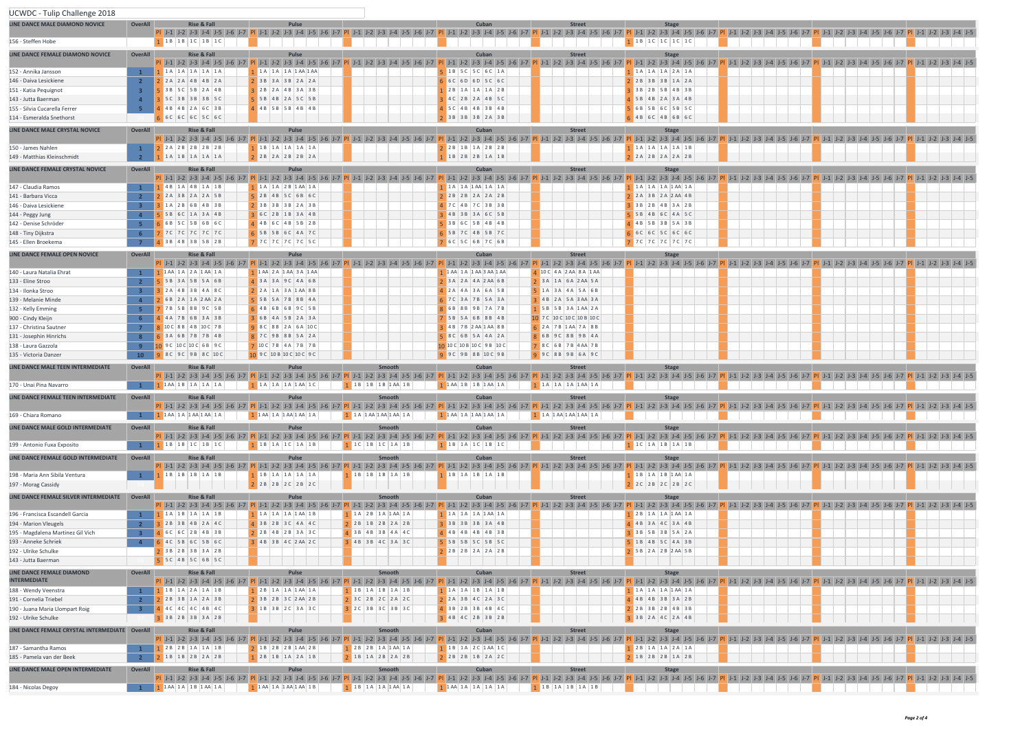| UCWDC - Tulip Challenge 2018                              |                 |                                                                                                                      |                                                    |                                                |                                                                     |                                                   |                                                                                                                                                                                                                                                                                                             |                                                                                                                                                         |                                                                                         |  |
|-----------------------------------------------------------|-----------------|----------------------------------------------------------------------------------------------------------------------|----------------------------------------------------|------------------------------------------------|---------------------------------------------------------------------|---------------------------------------------------|-------------------------------------------------------------------------------------------------------------------------------------------------------------------------------------------------------------------------------------------------------------------------------------------------------------|---------------------------------------------------------------------------------------------------------------------------------------------------------|-----------------------------------------------------------------------------------------|--|
| LINE DANCE MALE DIAMOND NOVICE                            | <b>OverAll</b>  | <b>Rise &amp; Fall</b>                                                                                               | Pulse                                              |                                                | Cuban                                                               | <b>Street</b>                                     | <b>Stage</b>                                                                                                                                                                                                                                                                                                |                                                                                                                                                         |                                                                                         |  |
|                                                           |                 | P J-1 J-2 J-3 J-4 J-5 J-6 J-7 P J-1 J-2 J-3 J-4 J-5                                                                  |                                                    |                                                | $J-2$ J-3 J-4 J-5 J-6 J-7                                           | <u>  J-1 J-2 J-3 J-4 J-5 J-6 J-7</u>              | J-1 J-2 J-3 J-4 J-5 J-6 J-7 PI J-1 J-2 J-3 J-4 J-5 J-6                                                                                                                                                                                                                                                      |                                                                                                                                                         | <mark>PI</mark> J-1 J-2 J-3 J-4 J-5 J-6 J-7 <mark>PI</mark> J-1 J-2 J-3 J-4 J-5         |  |
| 156 - Steffen Hobe                                        |                 | $1$ 1B 1B 1C 1B 1C                                                                                                   |                                                    |                                                |                                                                     |                                                   |                                                                                                                                                                                                                                                                                                             |                                                                                                                                                         |                                                                                         |  |
| LINE DANCE FEMALE DIAMOND NOVICE                          | <b>OverAll</b>  | <b>Rise &amp; Fall</b>                                                                                               | Pulse                                              |                                                | Cuban                                                               | <b>Street</b>                                     | <b>Stage</b>                                                                                                                                                                                                                                                                                                |                                                                                                                                                         |                                                                                         |  |
| 152 - Annika Jansson                                      |                 | PI J-1 J-2 J-3 J-4 J-5 J-6 J-7                                                                                       | $1A 1A 1A 1A 1AA 1AA$                              |                                                | $1B$ $5C$ $5C$ $6C$ $1A$                                            |                                                   | $1A$ $1A$ $1A$ $2A$ $1A$                                                                                                                                                                                                                                                                                    | J-1 J-2 J-3 J-4 J-5 J-6 J-7 <mark>PI</mark> J-1 J-2 J-3 J-4 J-5 J-6 J-7 <mark>PI</mark> J-1 J-2 J-3 J-4 J-5 J-6 J-7 <mark>PI</mark> J-1 J-2 J-3 J-4 J-5 |                                                                                         |  |
| 146 - Daiva Lesickiene                                    |                 | 2 2 A 2 A 4 B 4 B 2 A                                                                                                | 2 3 B 3 A 3 B 2 A 2 A                              |                                                | 6C 6D 6D 5C 6C                                                      |                                                   | 2B 3B 3B 1A 2A                                                                                                                                                                                                                                                                                              |                                                                                                                                                         |                                                                                         |  |
| 151 - Katia Pequignot                                     |                 | $-$ 3 B 5 C 5 B 2 A 4 B                                                                                              | 3 2 B 2 A 4 B 3 A 3 B                              |                                                | $2B   1A   1A   1A   2B$                                            |                                                   | $3B$ 2B 5B 4B 3B                                                                                                                                                                                                                                                                                            |                                                                                                                                                         |                                                                                         |  |
| 143 - Jutta Baerman                                       |                 | $3$ 5C 3B 3B 3B 5C                                                                                                   | $5$ 5B 4B 2A 5C 5B                                 |                                                | $4C$ 2B 2A 4B 5C                                                    |                                                   | $1$ 5B 4B 2A 3A 4B                                                                                                                                                                                                                                                                                          |                                                                                                                                                         |                                                                                         |  |
| 155 - Silvia Cucarella Ferrer                             |                 | 4 4 B 4 B 2 A 6 C 3 B                                                                                                | 4 4 B 5 B 5 B 4 B 4 B                              |                                                | 4 5 C 4 B 4 B 3 B 4 B                                               |                                                   | 5 6B 5B 6C 5B 5C                                                                                                                                                                                                                                                                                            |                                                                                                                                                         |                                                                                         |  |
| 114 - Esmeralda Snethorst                                 |                 |                                                                                                                      |                                                    |                                                | 2 3 B 3 B 3 B 2 A 3 B                                               |                                                   | 6 4 B 6 C 4 B 6 B 6 C                                                                                                                                                                                                                                                                                       |                                                                                                                                                         |                                                                                         |  |
| LINE DANCE MALE CRYSTAL NOVICE                            | <b>OverAll</b>  | <b>Rise &amp; Fall</b>                                                                                               | <b>Pulse</b>                                       |                                                | Cuban                                                               | <b>Street</b>                                     | <b>Stage</b>                                                                                                                                                                                                                                                                                                |                                                                                                                                                         |                                                                                         |  |
|                                                           |                 | PI J-1 J-2 J-3 J-4 J-5 J-6 J-7 PI J-1 J-2 J-3 J-4 J-5 J-6 J-7 PI                                                     |                                                    | $ $ 1-1 1-2 1-3 1-4 1-5 1-6 1                  | <u>  J-1 J-2 J-3 J-4 J-5 J-6 J-7  </u>                              | $PI$ J-1 J-2 J-3 J-4 J-5                          |                                                                                                                                                                                                                                                                                                             | J-1 J-2 J-3 J-4 J-5 J-6 J-7 <mark>PI</mark> J-1 J-2 J-3 J-4 J-5 J-6 J-7 <mark>PI</mark> J-1 J-2 J-3 J-4 J-5 J-6 J-7 <mark>PI</mark> J-1 J-2 J-3 J-4 J-5 |                                                                                         |  |
| 150 - James Nahlen<br>149 - Matthias Kleinschmidt         |                 | 2A 2B 2B 2B 2B<br>1A 1B 1A 1A 1A                                                                                     | $1B$ 1A 1A 1A 1A 1A<br>2 2 B 2 A 2 B 2 B 2 A       |                                                | 2B 1B 1A 2B 2B<br>$1$ 1B 2B 2B 1A 1B                                |                                                   | $1A$ $1A$ $1A$ $1A$ $1B$<br>2 2 A 2 B 2 A 2 A 2 B                                                                                                                                                                                                                                                           |                                                                                                                                                         |                                                                                         |  |
|                                                           |                 |                                                                                                                      |                                                    |                                                |                                                                     |                                                   |                                                                                                                                                                                                                                                                                                             |                                                                                                                                                         |                                                                                         |  |
| LINE DANCE FEMALE CRYSTAL NOVICE                          | <b>OverAll</b>  | <b>Rise &amp; Fall</b><br>PI J-1 J-2 J-3 J-4 J-5 J-6 J-7 PI J-1 J-2 J-3 J-4 J-5 J-6                                  | Pulse                                              |                                                | Cuban                                                               | <b>Street</b>                                     | <b>Stage</b>                                                                                                                                                                                                                                                                                                | J-1 J-2 J-3 J-4 J-5 J-6 J-7 <mark>PI</mark> J-1 J-2 J-3 J-4 J-5 J-6 J-7 <mark>PI</mark> J-1 J-2 J-3 J-4 J-5 J-6 J-7 <mark>PI</mark> J-1 J-2 J-3 J-4 J-5 |                                                                                         |  |
| 147 - Claudia Ramos                                       |                 | $4B$ 1A 4B 1A 1B                                                                                                     | $1A   1A   2B   1AA   1A$                          |                                                | $1A   1A   1AA   1A   1A$                                           |                                                   | $1 A   1 A   1 A   1 A A   1 A$                                                                                                                                                                                                                                                                             |                                                                                                                                                         |                                                                                         |  |
| 141 - Barbara Vicca                                       |                 | 2A 3B 2A 2A 5B                                                                                                       | 5 2 B 4 B 5 C 6 B 6 C                              |                                                | 2B 2B 2A 2A 2B                                                      |                                                   | 2A 3B 2A 2A 4B                                                                                                                                                                                                                                                                                              |                                                                                                                                                         |                                                                                         |  |
| 146 - Daiva Lesickiene                                    |                 | 1A 2B 6B 4B 3B                                                                                                       | 3 B 3 B 3 B 2 A 3 B                                |                                                | 7C   4B   7C   3B   3B                                              |                                                   | $3B$ 2B 4B 3A 2B                                                                                                                                                                                                                                                                                            |                                                                                                                                                         |                                                                                         |  |
| 144 - Peggy Jung                                          |                 | $5B$ 6C 1A 3A 4B                                                                                                     | $36C$ 2B 1B 3A 4B                                  |                                                | 4B 3B 3A 6C 5B                                                      |                                                   | $5B$ 4B 6C 4A 5C                                                                                                                                                                                                                                                                                            |                                                                                                                                                         |                                                                                         |  |
| 142 - Denise Schröder                                     |                 | $6$ 6B 5C 5B 6B 6C                                                                                                   | $4B$ 6C 4B 5B 2B                                   |                                                | 3B 6C 5B 4B 4B                                                      |                                                   | 4B 5B 3B 5A 3B                                                                                                                                                                                                                                                                                              |                                                                                                                                                         |                                                                                         |  |
| 148 - Tiny Dijkstra                                       |                 | 7 7 C 7 C 7 C 7 C 7 C<br>3 B 4 B 3 B 5 B 2 B                                                                         | 6 5 8 5 8 6 C 4 A 7 C                              |                                                | 6 5 B 7 C 4 B 5 B 7 C                                               |                                                   | 5 6C 6C 5C 6C 6C                                                                                                                                                                                                                                                                                            |                                                                                                                                                         |                                                                                         |  |
| 145 - Ellen Broekema                                      |                 |                                                                                                                      | 7 7 C 7 C 7 C 7 C 5 C                              |                                                | 7 6 C 5 C 6 B 7 C 6 B                                               |                                                   | 7 7C 7C 7C 7C 7C                                                                                                                                                                                                                                                                                            |                                                                                                                                                         |                                                                                         |  |
| LINE DANCE FEMALE OPEN NOVICE                             | <b>OverAll</b>  | <b>Rise &amp; Fall</b><br>PI J-1 J-2 J-3 J-4 J-5 J-6 J-7 PI J-1 J-2 J-3 J-4 J-5 J-6 J-7                              | Pulse                                              |                                                | Cuban<br>$1-2$ $1-3$ $1-4$ $1-5$ $1-6$ $1-7$                        | <b>Street</b><br>$1 - 1$ $-2$ $-3$ $-4$ $-5$ $-6$ | <b>Stage</b><br>J-7 <mark>PI</mark> J-1 J-2 J-3 J-4 J-5 J-6 J-7 <mark>PI</mark> J-1 J-2 J-3 J-4 J-5 J-6 J-7 <mark>PI</mark> J-1 J-2 J-3 J-4 J-5 J-6 J-7 <mark>PI</mark> J-1 J-2 J-3 J-4 J-5                                                                                                                 |                                                                                                                                                         |                                                                                         |  |
| 140 - Laura Natalia Ehrat                                 |                 | $1 AA 1 A 2 A 1 AA 1 A$                                                                                              | $1AA$ 2A $1AA$ 3A $1AA$                            |                                                | 1 AA 1 A 1 AA 3 AA 1 AA                                             | 4 10 C 4 A 2 AA 8 A 1 AA                          |                                                                                                                                                                                                                                                                                                             |                                                                                                                                                         |                                                                                         |  |
| 133 - Eline Stroo                                         |                 | $5$ 5B 3A 5B 5A 6B                                                                                                   | 4 3A 3A 9C 4A 6B                                   |                                                | 2 3A 2A 4A 2AA 6B                                                   | 2 3A 1A 6A 2AA 5A                                 |                                                                                                                                                                                                                                                                                                             |                                                                                                                                                         |                                                                                         |  |
| 134 - Ilonka Stroo                                        |                 | $2A   4B   3B   4A   8C$                                                                                             | 2 2 A 1 A 3 A 1 AA 8 B                             |                                                | $4$ 2A 4A 3A 6A 5B                                                  | 1A 3A 4A 5A 6B                                    |                                                                                                                                                                                                                                                                                                             |                                                                                                                                                         |                                                                                         |  |
| 139 - Melanie Minde                                       |                 | 2 6 B 2 A 1 A 2 AA 2 A                                                                                               | 5 5 5 5 A 7 B 8 B 4 A                              |                                                | $6$ 7C 3A 7B 5A 3A                                                  | 3 4 B 2 A 5 A 3 AA 3 A                            |                                                                                                                                                                                                                                                                                                             |                                                                                                                                                         |                                                                                         |  |
| 132 - Kelly Emming                                        |                 | 7 7B 5B 8B 9C 5B                                                                                                     | $5$ 4B 6B 6B 9C 5B                                 |                                                | 6B 8B 9B 7A 7B                                                      | $5B$ 5 5 3 4 1 AA 2 A                             |                                                                                                                                                                                                                                                                                                             |                                                                                                                                                         |                                                                                         |  |
| 900 - Cindy Kleijn<br>137 - Christina Sautner             |                 | 4 4 4 7 B 6 B 3 A 3 B<br>8 10 C 8 B 4 B 10 C 7 B                                                                     | 3 6 B 4 A 5 B 2 A 3 A<br>9 8C   8B   2A   6A   10C |                                                | 7 5 B 5 A 6 B 8 B 4 B<br>3 4 B 7 B 2 AA 1 AA 8 B                    | 10 7 C 10 C 10 C 10 B 10 C<br>$2A$ 7B 1AA 7A 8B   |                                                                                                                                                                                                                                                                                                             |                                                                                                                                                         |                                                                                         |  |
| 131 - Josephin Hinrichs                                   |                 | 6 3A 6B 7B 7B 4B                                                                                                     | 8 7C 9B 8B 5A 2A                                   |                                                | 5 8 C 6 B 5 A 4 A 2 A                                               | 8 6 B 9 C 8 B 9 B 4 A                             |                                                                                                                                                                                                                                                                                                             |                                                                                                                                                         |                                                                                         |  |
| 138 - Laura Gazzola                                       |                 | $10$ 9 C 10 C 10 C 6 B 9 C                                                                                           | 7 10 C 7 B 4 A 7 B 7 B                             |                                                | $10$ 10 C 10 B 10 C 9 B 10 C                                        | 8 C 6 B 7 B 4 AA 7 B                              |                                                                                                                                                                                                                                                                                                             |                                                                                                                                                         |                                                                                         |  |
| 135 - Victoria Danzer                                     | 10 <sup>°</sup> | 9 8C 9C 9B 8C 10C                                                                                                    | 10 9 C 10 B 10 C 10 C 9 C                          |                                                | 9 9 C 9 B 8 B 10 C 9 B                                              | 9 9 C 8 B 9 B 6 A 9 C                             |                                                                                                                                                                                                                                                                                                             |                                                                                                                                                         |                                                                                         |  |
| LINE DANCE MALE TEEN INTERMEDIATE                         | <b>OverAll</b>  | <b>Rise &amp; Fall</b><br>PI J-1 J-2 J-3 J-4 J-5 J-6 J-7 <mark>PI</mark> J-1 J-2 J-3 J-4 J-5 J-6 J-7 <mark>PI</mark> | Pulse                                              | Smooth<br>J-1 J-2 J-3 J-4 J-5 J-6              | Cuban<br>$J-2$ J-3 J-4 J-5 J-6                                      | <b>Street</b><br>$J-1$ J-2 J-3 J-4 J-5 J-6        | <b>Stage</b><br>J-3 J-4 J-5 J-6 J-7 PI                                                                                                                                                                                                                                                                      |                                                                                                                                                         | <mark>PI</mark> J-1 J-2 J-3 J-4 J-5 J-6 J-7 <mark>PI</mark> J-1 J-2 J-3 J-4 J-5         |  |
| 170 - Unai Pina Navarro                                   |                 |                                                                                                                      |                                                    | $1B$ 1 B 1 B 1 AA 1 B                          |                                                                     | $1A$ 1A 1A 1A 1A 1A                               |                                                                                                                                                                                                                                                                                                             |                                                                                                                                                         |                                                                                         |  |
| LINE DANCE FEMALE TEEN INTERMEDIATE                       | <b>OverAll</b>  | <b>Rise &amp; Fall</b>                                                                                               | Pulse                                              | Smooth                                         | Cuban                                                               | <b>Street</b>                                     | <b>Stage</b>                                                                                                                                                                                                                                                                                                |                                                                                                                                                         |                                                                                         |  |
|                                                           |                 | PI J-1 J-2 J-3 J-4 J-5 J-6 J-7 PI J-1 J-2 J-3 J-4 J-5 J-6 J-7                                                        |                                                    | $J-1$ J-2 J-3 J-4 J-5 J-6                      | $J-2$ $J-3$ $J-4$ $J-5$ $J-6$ $J-7$                                 | $J-1$ $J-2$ $J-3$ $J-4$ $J-5$ $I-6$               | $J-3$ J-4 J-5 J-6 J-7                                                                                                                                                                                                                                                                                       |                                                                                                                                                         | J-1   J-2   J-3   J-4   J-5   J-6   J-7 <mark>  PI</mark>   J-1   J-2   J-3   J-4   J-5 |  |
| 169 - Chiara Romano                                       |                 | $1 AA 1 A 1 A 1 AA 1 AA 1 A$                                                                                         | 1 1 AA 1 A 1 AA 1 AA 1 A                           | $1 A   1 A A   1 A A   1 A A   1 A$            | $1$ AA $1$ A $1$ AA $1$ AA $1$ A                                    | 1A 1AA 1AA 1AA 1A                                 |                                                                                                                                                                                                                                                                                                             |                                                                                                                                                         |                                                                                         |  |
| LINE DANCE MALE GOLD INTERMEDIATE                         | <b>OverAll</b>  | <b>Rise &amp; Fall</b>                                                                                               | <b>Pulse</b>                                       | <b>Smooth</b>                                  | Cuban                                                               | <b>Street</b>                                     | <b>Stage</b>                                                                                                                                                                                                                                                                                                |                                                                                                                                                         |                                                                                         |  |
|                                                           |                 | PI J-1 J-2 J-3 J-4 J-5 J-6 J-7 PI J-1 J-2 J-3 J-4 J-5 J-6 J-7 PI J-1 J-2 J-3 J-4 J-5 J-6 J-7<br>1B 1B 1C 1B 1C       |                                                    | $1$ 1C 1B 1C 1A 1B                             | $1$ 1B 1A 1C 1B 1C                                                  |                                                   | PI J-1 J-2 J-3 J-4 J-5 J-6 J-7 PI J-1 J-2 J-3 J-4 J-5 J-6 J-7 PI J-1 J-2 J-3 J-4 J-5 J-6 J-7 PI J-1 J-2 J-3 J-4 J-5 J-6 J-7 PI J-1 J-2 J-3 J-4 J-5 J-6 J-7 PI J-1 J-2 J-3 J-4 J-5 J-6 J-7 PI J-1 J-2 J-3 J-4 J-5<br>$1$ 1C 1A 1B 1A 1B                                                                      |                                                                                                                                                         |                                                                                         |  |
| 199 - Antonio Fuxa Exposito                               |                 |                                                                                                                      |                                                    |                                                |                                                                     |                                                   |                                                                                                                                                                                                                                                                                                             |                                                                                                                                                         |                                                                                         |  |
| LINE DANCE FEMALE GOLD INTERMEDIATE                       | <b>OverAll</b>  | <b>Rise &amp; Fall</b><br>PI J-1 J-2 J-3 J-4 J-5 J-6 J-7 PI J-1 J-2 J-3 J-4 J-5 J-6 J-7                              | <b>Pulse</b>                                       | Smooth<br>$J-1$ J-2 J-3 J-4 J-5 J-6            | Cuban<br>J-1 J-2 J-3 J-4 J-5 J-6 J-7 PL J-1 J-2 J-3 J-4 J-5 J-6 J-7 | <b>Street</b>                                     | <b>Stage</b>                                                                                                                                                                                                                                                                                                | J-1 J-2 J-3 J-4 J-5 J-6 J-7 <mark>PI</mark> J-1 J-2 J-3 J-4 J-5 J-6 J-7 <mark>PI</mark> J-1 J-2 J-3 J-4 J-5 J-6 J-7 <mark>PI</mark> J-1 J-2 J-3 J-4 J-5 |                                                                                         |  |
| 198 - Maria Ann Sibila Ventura                            |                 | 1B 1B 1B 1A 1B                                                                                                       | $1$ 1 B 1 A 1 A 1 A 1 A 1 A                        |                                                | $1B   1A   1B   1A   1B$                                            |                                                   | $1B   1A   1B   1AA   1A$                                                                                                                                                                                                                                                                                   |                                                                                                                                                         |                                                                                         |  |
| 197 - Morag Cassidy                                       |                 |                                                                                                                      | 2 2 B 2 B 2 C 2 B 2 C                              |                                                |                                                                     |                                                   | 2 2 C 2 B 2 C 2 B 2 C                                                                                                                                                                                                                                                                                       |                                                                                                                                                         |                                                                                         |  |
| LINE DANCE FEMALE SILVER INTERMEDIATE                     | <b>OverAll</b>  | <b>Rise &amp; Fall</b>                                                                                               | Pulse                                              | Smooth                                         | Cuban                                                               | <b>Street</b>                                     | <b>Stage</b>                                                                                                                                                                                                                                                                                                |                                                                                                                                                         |                                                                                         |  |
|                                                           |                 | PI J-1 J-2 J-3 J-4 J-5 J-6 J-7 PI J-1 J-2 J-3 J-4 J-5 J-6 J-7 PI                                                     |                                                    | $J-1$ J-2 J-3 J-4 J-5 J-6 J-7                  | <u> </u> J-1   J-2   J-3   J-4   J-5   J-6   J-7                    |                                                   |                                                                                                                                                                                                                                                                                                             | J-1 J-2 J-3 J-4 J-5 J-6 J-7 <mark>PI</mark> J-1 J-2 J-3 J-4 J-5 J-6 J-7 <mark>PI</mark> J-1 J-2 J-3 J-4 J-5 J-6 J-7 <mark>PI</mark> J-1 J-2 J-3 J-4 J-5 |                                                                                         |  |
| 196 - Francisca Escandell Garcia                          |                 | $1$ 1A 1B 1A 1A 1B                                                                                                   |                                                    | $1A   2B   1A   1AA   1A$                      | $1$ 1A 1A 1A 1AA 1A                                                 |                                                   |                                                                                                                                                                                                                                                                                                             |                                                                                                                                                         |                                                                                         |  |
| 194 - Marion Vleugels                                     |                 | 3 2 B 3 B 4 B 2 A 4 C                                                                                                |                                                    | 2 2 B 1 B 2 B 2 A 2 B                          | 3 3 B 3 B 3 B 3 A 4 B                                               |                                                   | $4$ 4B 3A 4C 3A 4B                                                                                                                                                                                                                                                                                          |                                                                                                                                                         |                                                                                         |  |
| 195 - Magdalena Martinez Gil Vich<br>193 - Anneke Schriek |                 | 4 6C 6C 2B 4B 3B<br>$6$ 4C 5B 6C 5B 6C                                                                               | 2 2 B 4 B 2 B 3 A 3 C<br>3 4 B 3 B 4 C 2 AA 2 C    | $3B   4B   3B   4A   4C$<br>$3$ 4B 3B 4C 3A 3C | $4$ 4 B 4 B 4 B 4 B 3 B<br>$5$ 5B 5B 5C 5B 5C                       |                                                   | $3B$ 5B 3B 5A 2A<br>$1B$ 4B 5C 4A 3B                                                                                                                                                                                                                                                                        |                                                                                                                                                         |                                                                                         |  |
| 192 - Ulrike Schulke                                      |                 | $3B$ 2B 3B 3A 2B                                                                                                     |                                                    |                                                | 2 2 B 2 B 2 A 2 A 2 B                                               |                                                   | 2 5 B 2 A 2 B 2 AA 5 B                                                                                                                                                                                                                                                                                      |                                                                                                                                                         |                                                                                         |  |
| 143 - Jutta Baerman                                       |                 | 5 5 5 4 B 5 C 6 B 5 C                                                                                                |                                                    |                                                |                                                                     |                                                   |                                                                                                                                                                                                                                                                                                             |                                                                                                                                                         |                                                                                         |  |
| <b>LINE DANCE FEMALE DIAMOND</b>                          | <b>OverAll</b>  | <b>Rise &amp; Fall</b>                                                                                               | Pulse                                              | Smooth                                         | Cuban                                                               | <b>Street</b>                                     | <b>Stage</b>                                                                                                                                                                                                                                                                                                |                                                                                                                                                         |                                                                                         |  |
| <b>INTERMEDIATE</b>                                       |                 | PI J-1 J-2 J-3 J-4 J-5 J-6 J-7 PI J-1 J-2 J-3 J-4 J-5 J-6 J-7 PI J-1 J-2 J-3 J-4 J-5 J-6                             |                                                    |                                                |                                                                     |                                                   | <mark>PI</mark> J-1 J-2 J-3 J-4 J-5 J-6 J-7 <mark>PI</mark> J-1 J-2 J-3 J-4 J-5 J-6 J-7 <mark>PI</mark> J-1 J-2 J-3 J-4 J-5 J-6 J-7 <mark>PI</mark> J-1 J-2 J-3 J-4 J-5 J-6 J-7 <mark>PI</mark> J-1 J-2 J-3 J-4 J-5 J-6 J-7 <mark>PI</mark> J-1 J-2 J-3 J-4 J-5 J-6 J-7 <mark>PI</mark> J-1 J-2 J-3 J-4 J-5 |                                                                                                                                                         |                                                                                         |  |
| 188 - Wendy Veenstra                                      |                 | $1B$ $1A$ $2A$ $1A$ $1B$                                                                                             |                                                    | $1B   1A   1B   1A   1B$                       | $1$ 1A 1A 1B 1A 1B                                                  |                                                   | $1A$ 1A $1A$ $1A$ $1AA$ $1A$                                                                                                                                                                                                                                                                                |                                                                                                                                                         |                                                                                         |  |
| 191 - Cornelia Triebel                                    | $\overline{2}$  | 2B 3B 1A 2A 3B                                                                                                       | 2 3 B 2 B 3 C 2 AA 2 B                             | 3 C 2 B 2 C 2 A 2 C                            | 2 2 A 3 B 4 C 2 A 3 C                                               |                                                   | 4 B 4 B 3 B 3 A 2 B                                                                                                                                                                                                                                                                                         |                                                                                                                                                         |                                                                                         |  |
| 190 - Juana Maria Llompart Roig                           |                 | $4C$ 4 C 4 C 4 C 4 B 4 C                                                                                             | $3$ 1B 3B 2C 3A 3C                                 | $2C$ 3B 3C 3B 3C                               | 4 3 B 2 B 3 B 4 B 4 C                                               |                                                   | 2B 3B 2B 4B 3B                                                                                                                                                                                                                                                                                              |                                                                                                                                                         |                                                                                         |  |
| 192 - Ulrike Schulke                                      |                 | 3 3 B 2 B 3 B 3 A 2 B                                                                                                |                                                    |                                                | 3 4 B 4 C 2 B 3 B 2 B                                               |                                                   | 3 3 B 2 A 4 C 2 A 4 B                                                                                                                                                                                                                                                                                       |                                                                                                                                                         |                                                                                         |  |
| LINE DANCE FEMALE CRYSTAL INTERMEDIATE OverAll            |                 | <b>Rise &amp; Fall</b><br>PI J-1 J-2 J-3 J-4 J-5 J-6 J-7 PI J-1 J-2 J-3 J-4 J-5 J-6 J-7 PI                           | <b>Pulse</b>                                       | Smooth<br>$J-1$ J-2 J-3 J-4 J-5 J-6            | Cuban<br>J-1 J-2 J-3 J-4 J-5 J-6 J-7 PI J-1 J-2 J-3 J-4 J-5 J-6     | <b>Street</b>                                     | <b>Stage</b>                                                                                                                                                                                                                                                                                                | J-1 J-2 J-3 J-4 J-5 J-6 J-7 <mark>PI</mark> J-1 J-2 J-3 J-4 J-5 J-6 J-7 <mark>PI</mark> J-1 J-2 J-3 J-4 J-5 J-6 J-7 <mark>PI</mark> J-1 J-2 J-3 J-4 J-5 |                                                                                         |  |
| 187 - Samantha Ramos                                      |                 | $2B$ 2 B $1A$ 1 A 1 B                                                                                                | 2 1 B 2 B 2 B 1 AA 2 B                             | $2B$ 2 B $1A$ 1 AA 1 A                         | $1$ 1B 1A 2C 1AA 1C                                                 |                                                   |                                                                                                                                                                                                                                                                                                             |                                                                                                                                                         |                                                                                         |  |
| 185 - Pamela van der Beek                                 |                 | $1B$ 18 $1B$ 28 $2A$ 28                                                                                              |                                                    | 2 1 B 1 A 2 B 2 A 2 B                          | $2$ 2B 2B 1B 2A 2C                                                  |                                                   | 2 1 B 2 B 2 B 1 A 2 B                                                                                                                                                                                                                                                                                       |                                                                                                                                                         |                                                                                         |  |
| LINE DANCE MALE OPEN INTERMEDIATE                         | <b>OverAll</b>  | <b>Rise &amp; Fall</b>                                                                                               | Pulse                                              | <b>Smooth</b>                                  | Cuban                                                               | <b>Street</b>                                     | <b>Stage</b>                                                                                                                                                                                                                                                                                                |                                                                                                                                                         |                                                                                         |  |
|                                                           |                 | PI J-1 J-2 J-3 J-4 J-5 J-6 J-7 PI J-1 J-2 J-3 J-4 J-5 J-6 J-7 PI                                                     |                                                    |                                                |                                                                     |                                                   | J-1 J-2 J-3 J-4 J-5 J-6 J-7 <mark>PI</mark> J-1 J-2 J-3 J-4 J-5 J-6 J-7 <mark>PI</mark> J-1 J-2 J-3 J-4 J-5 J-6 J-7 <mark>PI</mark> J-1 J-2 J-3 J-4 J-5 J-6 J-7 <mark>PI</mark> J-1 J-2 J-3 J-4 J-5 J-6 J-7 <mark>PI</mark> J-1 J-2 J-3 J-4 J-5 J-6 J-7 PI J-1 J-2 J-3 J-4 J-5 J-6 J-                       |                                                                                                                                                         |                                                                                         |  |
| 184 - Nicolas Degoy                                       |                 | 1 1 AA 1 A   1 B   1 AA   1 A                                                                                        | $1$ AA $1$ A $1$ AA $1$ AA $1$ B                   | $1B$ 1A 1A 1A 1A 1A                            | $1AA$ 1A 1A 1A 1A 1A                                                | $1B$ 14 18 14 18                                  |                                                                                                                                                                                                                                                                                                             |                                                                                                                                                         |                                                                                         |  |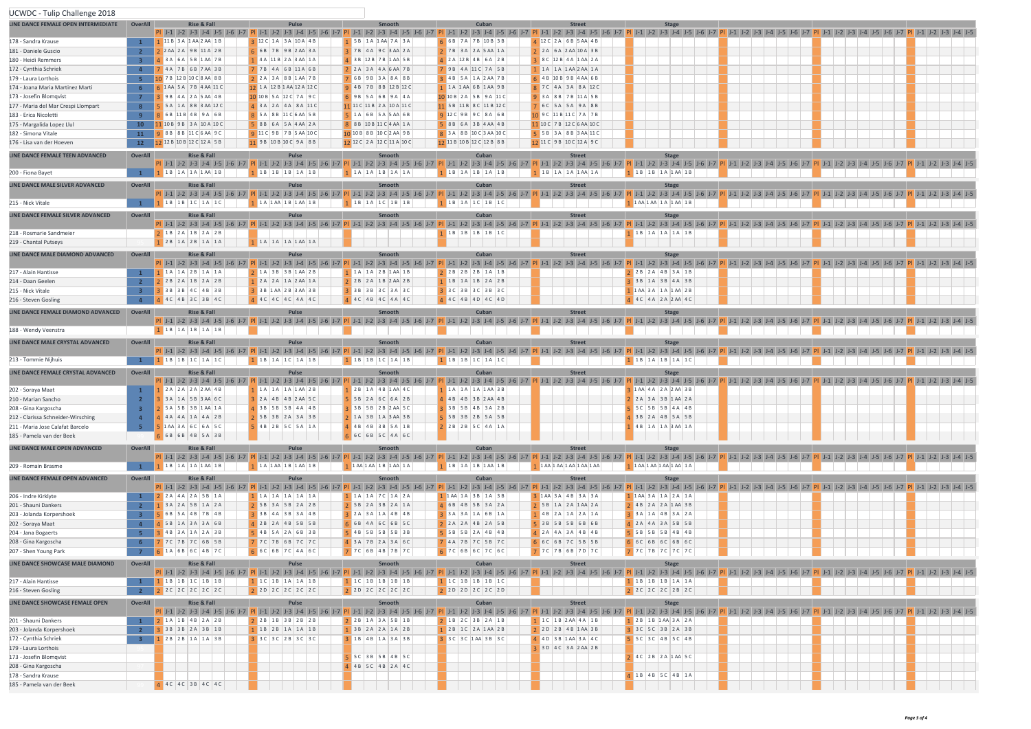| UCWDC - Tulip Challenge 2018                                           |                 |                                                                                             |                                                 |                                                                                                                     |                                                                                                                                                                             |                                                                                          |                                                                                                                                                                                                                                                         |                               |                                                                                                                                                         |                                                                 |
|------------------------------------------------------------------------|-----------------|---------------------------------------------------------------------------------------------|-------------------------------------------------|---------------------------------------------------------------------------------------------------------------------|-----------------------------------------------------------------------------------------------------------------------------------------------------------------------------|------------------------------------------------------------------------------------------|---------------------------------------------------------------------------------------------------------------------------------------------------------------------------------------------------------------------------------------------------------|-------------------------------|---------------------------------------------------------------------------------------------------------------------------------------------------------|-----------------------------------------------------------------|
| LINE DANCE FEMALE OPEN INTERMEDIATE                                    | <b>OverAll</b>  | <b>Rise &amp; Fall</b>                                                                      | <b>Pulse</b>                                    | Smooth                                                                                                              | Cuban                                                                                                                                                                       | <b>Street</b>                                                                            | <b>Stage</b>                                                                                                                                                                                                                                            |                               |                                                                                                                                                         |                                                                 |
|                                                                        |                 | PI J-1 J-2 J-3 J-4 J-5 J-6 J-7                                                              | $J-3$ $J-4$ $J-5$ $J-6$ $J-7$<br>$PI$ J-1 J-2   | J-1 J-2 J-3 J-4 J-5 J-6 J-7<br>$5B$   1A   1A   7A   3A                                                             | J-1 J-2 J-3 J-4 J-5 J-6 J-7<br>6B 7A 7B 10B 3B                                                                                                                              | $12C$ 2A 6B 5AA 4B                                                                       | 1-1 J-2 J-3 J-4 J-5 J-6 J-7 <mark>PI</mark> J-1 J-2 J-3 J-4 J-5 J-6 J-7 <mark>PI</mark> J-1 J-2 J-3 J-4 J-5 J-6 J-7 <mark>PI</mark> J-1 J-2 J-3 J-4 J-5 J-6 J-7 <mark>PI</mark> J-1 J-2 J-3 J-4 J-5 J-6 J-7 <mark>PI</mark> J-1 J-2 J-3 J-4 J-5         |                               |                                                                                                                                                         |                                                                 |
| 178 - Sandra Krause<br>181 - Daniele Guscio                            |                 | 11 B 3 A 1 AA 2 AA 1 B<br>2AA 2A 9B 11A 2B                                                  | 2 12 C 1 A 3 A 10 A 4 B<br>6B 7B 9B 2AA 3A      | 3 7 B 4 A 9 C 3 AA 2 A                                                                                              | 2 7 B 3 A 2 A 5 AA 1 A                                                                                                                                                      | 2 2 A 6 A 2 A 4 10 A 3 B                                                                 |                                                                                                                                                                                                                                                         |                               |                                                                                                                                                         |                                                                 |
| 180 - Heidi Remmers                                                    |                 | $3A   6A   5B   1AA   7B$                                                                   | 4 A 11 B 2 A 3 AA 1 A                           | 3 B 12 B 7 B 1 AA 5 B                                                                                               | $2A   12B   4B   6A   2B$                                                                                                                                                   | 8 C 12 B 4 A 1 AA 2 A                                                                    |                                                                                                                                                                                                                                                         |                               |                                                                                                                                                         |                                                                 |
| 172 - Cynthia Schriek                                                  |                 | 4A 7B 6B 7AA 3B                                                                             | 7B 4A 6B 11A 6B                                 | $2A$ 3A 4A 6AA 7B                                                                                                   | $79B$ 4A 11C 7A 5B                                                                                                                                                          | 1A 1A 1AA 2AA 1A                                                                         |                                                                                                                                                                                                                                                         |                               |                                                                                                                                                         |                                                                 |
| 179 - Laura Lorthois                                                   |                 | 10 7 B 12 B 10 C 8 AA 8 B                                                                   | 2A 3A 8B 1AA 7B                                 | $6B$   9B   3A   8A   8B                                                                                            | $4B$ 5A 1A 2AA 7B                                                                                                                                                           | 4 B 10 B 9 B 4 AA 6 B                                                                    |                                                                                                                                                                                                                                                         |                               |                                                                                                                                                         |                                                                 |
| 174 - Joana Maria Martinez Marti                                       |                 | 1 AA 5 A 7 B 4 AA 11 C                                                                      | 2 1 A 12 B 1 AA 12 A 12 C                       | $9$ 4 B 7 B 8 B 12 B 12 C                                                                                           | $1 A 1 A A 6 B 1 A A 9 B$                                                                                                                                                   | 8 7 C 4 A 3 A 8 A 12 C                                                                   |                                                                                                                                                                                                                                                         |                               |                                                                                                                                                         |                                                                 |
| 173 - Josefin Blomqvist<br>177 - Maria del Mar Crespi Llompart         |                 | $9B$ 4A 2A 5AA 4B<br>5A 1A 8B 3AA 12C                                                       | $10$ 10 B 5 A 12 C 7 A 9 C<br>4 3A 2A 4A 8A 11C | 9B 5A 6B 9A 4A<br>11 11 C 11 B 2 A 10 A 11 C                                                                        | $\bigcap$ 10 B 2 A 5 B 9 A 11 C<br>11 5 B 11 B 8 C 11 B 12 C                                                                                                                | 3A 8B 7B 11A 5B                                                                          |                                                                                                                                                                                                                                                         |                               |                                                                                                                                                         |                                                                 |
| 183 - Erica Nicoletti                                                  |                 | 6 B 11 B 4 B 9 A 6 B                                                                        | 8 5 A 8 B 11 C 6 AA 5 B                         | 1A 6B 5A 5AA 6B                                                                                                     | 12C9B9C8A6B                                                                                                                                                                 | $10$ 9 C 11 B 11 C 7 A 7 B                                                               |                                                                                                                                                                                                                                                         |                               |                                                                                                                                                         |                                                                 |
| 175 - Margalida Lopez Llul                                             | 10 <sup>°</sup> | 11 10 B 9 B 3 A 10 A 10 C                                                                   | 8 B 6 A 5 A 4 AA 2 A                            | 8 B 10 B 11 C 4 AA 1 A                                                                                              | 5 8 B 6 A 3 B 4 AA 4 B                                                                                                                                                      | 11 10 C 7 B 12 C 6 AA 10 C                                                               |                                                                                                                                                                                                                                                         |                               |                                                                                                                                                         |                                                                 |
| 182 - Simona Vitale                                                    | 11              | 8 B 8 B 11 C 6 AA 9 C                                                                       | $11 C$ 9 B 7 B 5 AA 10 C                        | $0$ 10 B 8 B 10 C 2 AA 9 B                                                                                          | $3A$ 8 B 10 C 3 AA 10 C                                                                                                                                                     | $5B$ 3A 8B 3A 11C                                                                        |                                                                                                                                                                                                                                                         |                               |                                                                                                                                                         |                                                                 |
| 176 - Lisa van der Hoeven                                              | 12 <sup>7</sup> | 12 12 B 10 B 12 C 12 A 5 B                                                                  | 11 9 B 10 B 10 C 9 A 8 B                        | 12 12 C 2 A 12 C 11 A 10 C                                                                                          | 12 11 B 10 B 12 C 12 B 8 B                                                                                                                                                  | 12 11 C 9 B 10 C 12 A 9 C                                                                |                                                                                                                                                                                                                                                         |                               |                                                                                                                                                         |                                                                 |
| LINE DANCE FEMALE TEEN ADVANCED                                        | <b>OverAll</b>  | <b>Rise &amp; Fall</b>                                                                      | <b>Pulse</b>                                    | Smooth                                                                                                              | Cuban                                                                                                                                                                       | <b>Street</b>                                                                            | <b>Stage</b>                                                                                                                                                                                                                                            |                               |                                                                                                                                                         |                                                                 |
|                                                                        |                 | PI J-1 J-2 J-3 J-4 J-5 J-6 J-7 PI J-1 J-2 J-3 J-4 J-5 J-6 J-7 PI J-1<br>1 B 1 A 1 A 1 A 1 B | $1$ 1B 1B 1B 1A 1B                              | $J-2$ J-3 J-4 J-5 J-6 J-7<br>$1$ 1A 1A 1B 1A 1A                                                                     | $J-2$ $J-3$ $J-4$ $I-5$<br>$1B$ 14 18 14 18                                                                                                                                 | J-2 J-3 J-4 J-5 J-6 J-7<br>1B 1A 1A 1AA 1A                                               | J-1 J-2 J-3 J-4 J-5 J-6 J-7 PI<br>$1$ 1 B 1 B 1 A 1 AA 1 B                                                                                                                                                                                              | $J-1$ J-2 J-3 J-4 J-5 J-6 J-7 | J-1   J-2   J-3   J-4   J-5   J-6   J-7 <mark>  PI  </mark> J-1   J-2   J-3   J-4   J-5                                                                 |                                                                 |
| 200 - Fiona Bayet                                                      |                 |                                                                                             |                                                 |                                                                                                                     |                                                                                                                                                                             |                                                                                          |                                                                                                                                                                                                                                                         |                               |                                                                                                                                                         |                                                                 |
| LINE DANCE MALE SILVER ADVANCED                                        | <b>OverAll</b>  | <b>Rise &amp; Fall</b>                                                                      | <b>Pulse</b>                                    | Smooth                                                                                                              | Cuban<br>PI J-1 J-2 J-3 J-4 J-5 J-6 J-7 PI J-1 J-2 J-3 J-4 J-5 J-6 J-7 PI J-1 J-2 J-3 J-4 J-5 J-6 J-7 PI J-1 J-2 J-3 J-4 J-5 J-4 J-5 J-6 J-7 PI J-1 J-2 J-3 J-4 J-5 J-6 J-7 | <b>Street</b>                                                                            | <b>Stage</b><br>PI J-1 J-2 J-3 J-4 J-5 J-6 J-7 PI J-1 J-2 J-3 J-4 J-5 J-6 J-7 PI J-1 J-2 J-3 J-4 J-5 J-6 J-7 PI J-1 J-2 J-3 J-4 J-5                                                                                                                     |                               |                                                                                                                                                         |                                                                 |
| 215 - Nick Vitale                                                      |                 | 1B 1B 1C 1A 1C                                                                              | 1 1A 1AA 1B 1AA 1B                              | $1$ 1 B 1 A 1 C 1 B 1 B                                                                                             | $1B$ 14 16 18 16                                                                                                                                                            |                                                                                          | 1 1 AA 1 AA 1 A 1 AA 1 B                                                                                                                                                                                                                                |                               |                                                                                                                                                         |                                                                 |
| LINE DANCE FEMALE SILVER ADVANCED                                      | <b>OverAll</b>  | <b>Rise &amp; Fall</b>                                                                      | <b>Pulse</b>                                    | Smooth                                                                                                              | Cuban                                                                                                                                                                       | <b>Street</b>                                                                            | <b>Stage</b>                                                                                                                                                                                                                                            |                               |                                                                                                                                                         |                                                                 |
|                                                                        |                 |                                                                                             |                                                 | PI J-1 J-2 J-3 J-4 J-5 J-6 J-7 PI J-1 J-2 J-3 J-4 J-5 J-6 J-7 PI J-1 J-2 J-3 J-4 J-5 J-6 J-7                        | PI J-1 J-2 J-3 J-4 J-5 J-6 J-7 PI J-1 J-2 J-3 J-4 J-5 J-6 J-7                                                                                                               |                                                                                          | PI J-1 J-2 J-3 J-4 J-5 J-6 J-7 PI J-1 J-2 J-3 J-4 J-5 J-6 J-7 PI J-1 J-2 J-3 J-4 J-5 J-6 J-7 PI J-1 J-2 J-3 J-4 J-5                                                                                                                                     |                               |                                                                                                                                                         |                                                                 |
| 218 - Rosmarie Sandmeier                                               |                 | $2$ $1$ $B$ $2$ $A$ $1$ $B$ $2$ $A$ $2$                                                     |                                                 |                                                                                                                     | 1B 1B 1B 1B 1C                                                                                                                                                              |                                                                                          | $1B$ 1A 1A 1A 1A 1B                                                                                                                                                                                                                                     |                               |                                                                                                                                                         |                                                                 |
| 219 - Chantal Putseys                                                  |                 | $1$ 2B 1A 2B 1A 1A                                                                          | 1 1A 1A 1A 1A 1A                                |                                                                                                                     |                                                                                                                                                                             |                                                                                          |                                                                                                                                                                                                                                                         |                               |                                                                                                                                                         |                                                                 |
| LINE DANCE MALE DIAMOND ADVANCED                                       | <b>OverAll</b>  | <b>Rise &amp; Fall</b>                                                                      | <b>Pulse</b>                                    | <b>Smooth</b>                                                                                                       | Cuban                                                                                                                                                                       | <b>Street</b>                                                                            | <b>Stage</b>                                                                                                                                                                                                                                            |                               |                                                                                                                                                         |                                                                 |
|                                                                        |                 |                                                                                             |                                                 | PI J-1 J-2 J-3 J-4 J-5 J-6 J-7 PI J-1 J-2 J-3 J-4 J-5 J-6 J-7 PI J-1 J-2 J-3 J-4 J-5 J-6 J-7                        | $1-1$ $1-2$ $1-3$ $1-4$ $1-5$ $1-6$ $1-7$ P                                                                                                                                 | $1 - 1$ J-2 J-3 J-4 J-5 J-6 J-7                                                          | PI J-1 J-2 J-3 J-4 J-5 J-6 J-7 PI J-1 J-2 J-3 J-4 J-5 J-6 J-7 PI J-1 J-2 J-3 J-4 J-5 J-6 J-7 <mark>PI</mark> J-1 J-2 J-3 J-4 J-5                                                                                                                        |                               |                                                                                                                                                         |                                                                 |
| 217 - Alain Hantisse<br>214 - Daan Geelen                              |                 | 1A 1A 2B 1A 1A<br>2 2 B 2 A 1 B 2 A 2 B                                                     | 2 1A 3B 3B 1AA 2B<br>$1$ 2A 2A 1A 2AA 1A        | $1$ 1A 1A 2B 1AA 1B<br>2 2 B 2 A 1 B 2 AA 2 B                                                                       | 2B 2B 2B 1A 1B<br>1B 1A 1B 2A 2B                                                                                                                                            |                                                                                          | 2 2 B 2 A 4 B 3 A 1 B<br>$3$ 3 B 1 A 3 B 4 A 3 B                                                                                                                                                                                                        |                               |                                                                                                                                                         |                                                                 |
| 215 - Nick Vitale                                                      |                 | 3 B 3 B 4 C 4 B 3 B                                                                         | 3 B 1 AA 2 B 3 AA 3 B                           | $3B$ 3 B 3 B 3 C 3 A 3 C                                                                                            | $3$ 3 C 3 B 3 C 3 B 3 C                                                                                                                                                     |                                                                                          | $1 AA 3 A 1 A 1 A A 2 B$                                                                                                                                                                                                                                |                               |                                                                                                                                                         |                                                                 |
| 216 - Steven Gosling                                                   |                 | 4C 4B 3C 3B 4C                                                                              | $4$ 4C 4C 4C 4A 4C                              | $4$ 4 C 4 B 4 C 4 A 4 C                                                                                             | 4 C 4 B 4 D 4 C 4 D                                                                                                                                                         |                                                                                          | 4 4 C 4 A 2 A 2 AA 4 C                                                                                                                                                                                                                                  |                               |                                                                                                                                                         |                                                                 |
| LINE DANCE FEMALE DIAMOND ADVANCED                                     | <b>OverAll</b>  | <b>Rise &amp; Fall</b>                                                                      | <b>Pulse</b>                                    | Smooth                                                                                                              | <b>Cuban</b>                                                                                                                                                                | <b>Street</b>                                                                            | <b>Stage</b>                                                                                                                                                                                                                                            |                               |                                                                                                                                                         |                                                                 |
|                                                                        |                 | PI J-1 J-2 J-3 J-4 J-5 J-6 J-7 PI J-1 J-2 J-3 J-4 J-5 J-6                                   |                                                 | $J-2$ J-3 J-4 J-5 J-6<br>$ J-1 $                                                                                    | PI J-1 J-2 J-3 J-4 J-5 J-6 J-7 PI J-1 J-2 J-3 J-4 J-5 J-6 J-7                                                                                                               |                                                                                          | PI J-1 J-2 J-3 J-4 J-5 J-6 J-7 PI J-1 J-2 J-3 J-4 J-5 J-6 J-7                                                                                                                                                                                           |                               | <u>J-1 J-2 J-3 J-4 J-5 J-6 J-7 PL J-1 J-2 J-3 J-4 J-5</u>                                                                                               |                                                                 |
| 188 - Wendy Veenstra                                                   |                 | $1$ 1B 1A 1B 1A 1B                                                                          |                                                 |                                                                                                                     |                                                                                                                                                                             |                                                                                          |                                                                                                                                                                                                                                                         |                               |                                                                                                                                                         |                                                                 |
| LINE DANCE MALE CRYSTAL ADVANCED                                       | <b>OverAll</b>  | <b>Rise &amp; Fall</b>                                                                      | <b>Pulse</b>                                    | Smooth                                                                                                              | Cuban                                                                                                                                                                       | <b>Street</b>                                                                            | <b>Stage</b>                                                                                                                                                                                                                                            |                               |                                                                                                                                                         |                                                                 |
| 213 - Tommie Nijhuis                                                   |                 | $P $ J-1 J-2 J-3 J-4 J-5 J-6 J-7 $P $ J-1 J-2<br>$1B$   1 B   1 C   1 A   1 C               | $1$ 1B 1A 1C 1A 1B                              | $J-2$ $J-3$ $J-4$ $J-5$ $J-6$ $J-7$<br>$1$ 1B 1B 1C 1A 1B                                                           |                                                                                                                                                                             |                                                                                          | $J-1$ J-2 J-3 J-4 J-5 J-6 J-7<br>$1$ 1B 1A 1B 1A 1C                                                                                                                                                                                                     |                               |                                                                                                                                                         | J-5   J-6   J-7 <mark>  PI</mark>   J-1   J-2   J-3   J-4   J-! |
|                                                                        |                 |                                                                                             |                                                 |                                                                                                                     |                                                                                                                                                                             |                                                                                          |                                                                                                                                                                                                                                                         |                               |                                                                                                                                                         |                                                                 |
| LINE DANCE FEMALE CRYSTAL ADVANCED                                     | <b>OverAll</b>  | <b>Rise &amp; Fall</b><br>$PI$ J-1 J-2 J-3 J-4 J-5 J-6 J-7                                  | Pulse                                           | <b>Smooth</b><br>PI J-1 J-2 J-3 J-4 J-5 J-6 J-7 PI J-1 J-2 J-3 J-4 J-5 J-6 J-7                                      | Cuban<br>$J-1$ J-2 J-3 J-4 J-5                                                                                                                                              | <b>Street</b><br>  J-6   J-7   <mark>PI</mark>   J-1   J-2   J-3   J-4   J-5   J-6   J-7 | <b>Stage</b><br>PI J-1 J-2 J-3 J-4 J-5 J-6 J-7 PI J-1 J-2 J-3 J-4 J-5 J-6 J-7 PI J-1 J-2 J-3 J-4 J-5 J-6 J-7 PI J-1 J-2 J-3 J-4 J-5                                                                                                                     |                               |                                                                                                                                                         |                                                                 |
| 202 - Soraya Maat                                                      |                 | $2A \quad 2A \quad 2A \quad 2A \quad 4B$                                                    |                                                 | $2B   1A   4B   1AA   4C$                                                                                           | $1A   1A   1A   1AA   3B$                                                                                                                                                   |                                                                                          | 3 1 AA 4 A 2 A 2 AA 3 B                                                                                                                                                                                                                                 |                               |                                                                                                                                                         |                                                                 |
| 210 - Marian Sancho                                                    |                 | 3 3 A 1 A 5 B 3 AA 6 C                                                                      | 3 2 A 4 B 4 B 2 AA 5 C                          | 5 5 B 2 A 6 C 6 A 2 B                                                                                               | 4 4 B 4 B 3 B 2 AA 4 B                                                                                                                                                      |                                                                                          | 2A 3A 3B 1AA 2A                                                                                                                                                                                                                                         |                               |                                                                                                                                                         |                                                                 |
| 208 - Gina Kargoscha                                                   |                 | $2$ 5A 5B 3B 1AA 1A                                                                         | $4$ 3B 5B 3B 4A 4B                              | 3 B 5 B 2 B 2 AA 5 C                                                                                                | 3 3 B 5 B 4 B 3 A 2 B                                                                                                                                                       |                                                                                          | $5C$ 5B 5B 4A 4B                                                                                                                                                                                                                                        |                               |                                                                                                                                                         |                                                                 |
| 212 - Clarissa Schneider-Wirsching<br>211 - Maria Jose Calafat Barcelo |                 | $4$ 4A 4A 1A 4A 2B<br>$1AA$ 3A 6C 6A 5C                                                     | $2$ 5B 3B 2A 3A 3B<br>$-$ 4 B 2 B 5 C 5 A 1 A   | 2 1A 3B 1A 3AA 3B<br>$4B$ 4 B 3 B 5 A 1 B                                                                           | 5 5 5 3 3 B 2 B 5 A 5 B<br>$2B   2B   5C   4A   1A$                                                                                                                         |                                                                                          | 4 3 B 2 A 4 B 5 A 5 B<br>  4 B   1 A   1 A   3 AA   1 A                                                                                                                                                                                                 |                               |                                                                                                                                                         |                                                                 |
| 185 - Pamela van der Beek                                              |                 | $6B$ 6B 4B 5A 3B                                                                            |                                                 | 6 6 6 6 6 5 6 4 A 6 C                                                                                               |                                                                                                                                                                             |                                                                                          |                                                                                                                                                                                                                                                         |                               |                                                                                                                                                         |                                                                 |
| <b>LINE DANCE MALE OPEN ADVANCED</b>                                   | <b>OverAll</b>  | <b>Rise &amp; Fall</b>                                                                      | <b>Pulse</b>                                    | Smooth                                                                                                              | Cuban                                                                                                                                                                       | <b>Street</b>                                                                            | <b>Stage</b>                                                                                                                                                                                                                                            |                               |                                                                                                                                                         |                                                                 |
|                                                                        |                 | PI J-1 J-2 J-3 J-4 J-5 J-6 J-7 PI J-1 J-2 J-3 J-4 J-5 J-6 J-7 PI J-1 J-2 J-3 J-4 J-5 J-6    |                                                 |                                                                                                                     | J-1 J-2 J-3 J-4 J-5 J-6 J-7                                                                                                                                                 | $J-2$ J-3 J-4 J-5 J-6 J-7                                                                | PI J-1 J-2 J-3 J-4 J-5 J-6 J-7 PI                                                                                                                                                                                                                       |                               | J-1   J-2   J-3   J-4   J-5   J-6   J-7 <mark>  PI</mark>   J-1   J-2   J-3   J-4   J-5                                                                 |                                                                 |
| 209 - Romain Brasme                                                    |                 | $1B$ $1A$ $1A$ $1AA$ $1B$                                                                   | $1$ 1 A 1 AA 1 B 1 AA 1 B                       | $1$ $1$ AA $1$ AA $1$ B $1$ AA $1$ A                                                                                | 1 B   1 A   1 B   1 AA   1 B                                                                                                                                                | $1$ AA $1$ AA $1$ AA $1$ AA $1$ AA                                                       | $1$ 1 AA 1 AA 1 AA 1 AA $1$ A                                                                                                                                                                                                                           |                               |                                                                                                                                                         |                                                                 |
| LINE DANCE FEMALE OPEN ADVANCED                                        | <b>OverAll</b>  | <b>Rise &amp; Fall</b>                                                                      | <b>Pulse</b>                                    | <b>Smooth</b>                                                                                                       | Cuban                                                                                                                                                                       | <b>Street</b>                                                                            | <b>Stage</b>                                                                                                                                                                                                                                            |                               |                                                                                                                                                         |                                                                 |
|                                                                        |                 | PI J-1 J-2 J-3 J-4 J-5 J-6 J-7 PI J-1 J-2 J-3 J-4 J-5 J-6 J-7 PI                            |                                                 | $J-2$ J-3 J-4 J-5 J-6 J-7<br>$J-1$                                                                                  | $1-1$ $1-2$ $1-3$ $1-4$ $1-5$ $1-6$ $1-7$                                                                                                                                   | $1-2$ $1-3$ $1-4$ $1-5$ $1-6$                                                            |                                                                                                                                                                                                                                                         |                               | J-1 J-2 J-3 J-4 J-5 J-6 J-7 <mark>PI</mark> J-1 J-2 J-3 J-4 J-5 J-6 J-7 <mark>PI</mark> J-1 J-2 J-3 J-4 J-5 J-6 J-7 <mark>PI</mark> J-1 J-2 J-3 J-4 J-5 |                                                                 |
| 206 - Indre Kirklyte                                                   |                 | $2A \mid 4A \mid 2A \mid 5B \mid 1A$                                                        | $1$ 1A 1A 1A 1A 1A                              | $1A$ 14 7C 1A 2A                                                                                                    | $1 AA 1 A 3 B 1 A 3 B$                                                                                                                                                      | 3 1 AA 3 A 4 B 3 A 3 A                                                                   | $1 AA 3 A 1 A 2 A 1 A$                                                                                                                                                                                                                                  |                               |                                                                                                                                                         |                                                                 |
| 201 - Shauni Dankers<br>203 - Jolanda Korpershoek                      |                 | 6 B   5 A   4 B   7 B   4 B                                                                 | $2$ 5B 3A 5B 2A 2B<br>$3$ 3B 4A 3B 3A 4B        | 2 5 B 2 A 3 B 2 A 1 A<br>$2A$ 3A 1A 4B 4B                                                                           | 4 6 B 4 B 5 B 3 A 2 A<br>3A 3A 1A 6B 1A                                                                                                                                     | 2 5 B 1 A 2 A 1 A 2 A<br>4 B 2 A 1 A 2 A 1 A                                             | 2 4 B 2 A 2 A 1 AA 3 B<br>$3$ $3A$ $1A$ $4B$ $3A$ $2A$                                                                                                                                                                                                  |                               |                                                                                                                                                         |                                                                 |
| 202 - Soraya Maat                                                      |                 | 4 5 B 1 A 3 A 3 A 6 B                                                                       | 4 2 B 2 A 4 B 5 B 5 B                           | 6 6 8 4 A 6 C 6 B 5 C                                                                                               | 2 2 A 2 A 4 B 2 A 5 B                                                                                                                                                       | 5 3 B 5 B 5 B 6 B 6 B                                                                    | 4 2 A 4 A 3 A 5 B 5 B                                                                                                                                                                                                                                   |                               |                                                                                                                                                         |                                                                 |
| 204 - Jana Bogaerts                                                    |                 | $4B$ 3A 1A 2A 3B                                                                            | 4B 5A 2A 6B 3B                                  | 4B 5B 5B 5B 3B                                                                                                      | $5$ 5B 5B 2A 4B 4B                                                                                                                                                          | $1$ 2A 4A 3A 4B 4B                                                                       | $5$ 5B 5B 5B 4B 4B                                                                                                                                                                                                                                      |                               |                                                                                                                                                         |                                                                 |
| 208 - Gina Kargoscha                                                   |                 | $7C$ 78 76 68 58                                                                            | 7 7C 7B 6B 7C 7C                                | $\overline{A}$ 3A 7B 2A 3A 6C                                                                                       | 7 4A 7B 7C 5B 7C                                                                                                                                                            | 6 6 6 6 8 7 C 5 B 5 B                                                                    | 6 6 C 6 B 6 C 6 B 6 C                                                                                                                                                                                                                                   |                               |                                                                                                                                                         |                                                                 |
| 207 - Shen Young Park                                                  |                 | 6 1A 6B 6C 4B 7C                                                                            | $6C$ 6B 7C 4A 6C                                | $7$ 7C 6B 4B 7B 7C                                                                                                  | 6 7 C 6 B 6 C 7 C 6 C                                                                                                                                                       | 7 7C 7B 6B 7D 7C                                                                         | 7 7C 7B 7C 7C 7C                                                                                                                                                                                                                                        |                               |                                                                                                                                                         |                                                                 |
| LINE DANCE SHOWCASE MALE DIAMOND                                       | <b>OverAll</b>  | <b>Rise &amp; Fall</b>                                                                      | <b>Pulse</b>                                    | Smooth                                                                                                              | Cuban                                                                                                                                                                       | <b>Street</b>                                                                            | <b>Stage</b>                                                                                                                                                                                                                                            |                               |                                                                                                                                                         |                                                                 |
|                                                                        |                 | 1 B 1 B 1 C 1 B 1 B                                                                         | $1$ $1$ C $1$ B $1$ A $1$ A $1$ B               | PI J-1 J-2 J-3 J-4 J-5 J-6 J-7 PI J-1 J-2 J-3 J-4 J-5 J-6 J-7 PI J-1 J-2 J-3 J-4 J-5 J-6 J-7<br>$1C$ 18 18 18 18 18 | $1C$ 18 18 18 16 16                                                                                                                                                         |                                                                                          | PI J-1 J-2 J-3 J-4 J-5 J-6 J-7 PI J-1 J-2 J-3 J-4 J-5 J-6 J-7 PI J-1 J-2 J-3 J-4 J-5 J-6 J-7 PI J-1 J-2 J-3 J-4 J-5 J-6 J-7 PI J-1 J-2 J-3 J-4 J-5 J-6 J-7 PI J-1 J-2 J-3 J-4 J-5<br>$1B$ 18 18 18 14 14                                                |                               |                                                                                                                                                         |                                                                 |
| 217 - Alain Hantisse<br>216 - Steven Gosling                           |                 | 2 2 C 2 C 2 C 2 C 2 C                                                                       | $2$ 2D 2C 2C 2C 2C                              | 2 2 D 2 C 2 C 2 C 2 C                                                                                               | 2 2 D 2 D 2 C 2 C 2 D                                                                                                                                                       |                                                                                          | 2 2 C 2 C 2 C 2 B 2 C                                                                                                                                                                                                                                   |                               |                                                                                                                                                         |                                                                 |
| <b>LINE DANCE SHOWCASE FEMALE OPEN</b>                                 | <b>OverAll</b>  | <b>Rise &amp; Fall</b>                                                                      | Pulse                                           | Smooth                                                                                                              | Cuban                                                                                                                                                                       | <b>Street</b>                                                                            | <b>Stage</b>                                                                                                                                                                                                                                            |                               |                                                                                                                                                         |                                                                 |
|                                                                        |                 |                                                                                             |                                                 | PI J-1 J-2 J-3 J-4 J-5 J-6 J-7 PI J-1 J-2 J-3 J-4 J-5 J-6 J-7 PI J-1 J-2 J-3 J-4 J-5 J-6 J-7                        |                                                                                                                                                                             |                                                                                          | PI J-1 J-2 J-3 J-4 J-5 J-6 J-7 <mark>PI J-1 J-2 J-3 J-4 J-5 J-6 J-7 PI</mark> J-1 J-2 J-3 J-4 J-5 J-6 J-7 <mark>PI</mark> J-1 J-2 J-3 J-4 J-5 J-6 J-7 <mark>PI</mark> J-1 J-2 J-3 J-4 J-5 J-6 J-7 PI J-1 J-2 J-3 J-4 J-5 J-6 J-7 PI J-1 J-2 J-3 J-4 J-5 |                               |                                                                                                                                                         |                                                                 |
| 201 - Shauni Dankers                                                   |                 | $1A$ $1B$ $4B$ $2A$ $2B$                                                                    | 2 2 B 1 B 3 B 2 B 2 B                           | 2 B 1 A 3 A 5 B 1 B                                                                                                 | $1B   2C   3B   2A   1B$                                                                                                                                                    | $1C$ 1B 2AA 4A 1B                                                                        | $2B   1B   1AA   3A   2A$                                                                                                                                                                                                                               |                               |                                                                                                                                                         |                                                                 |
| 203 - Jolanda Korpershoek                                              | $\overline{2}$  | 3 3 B 3 B 2 A 3 B 1 B                                                                       | 1 1 B 2 B 1 A 1 A 1 B                           | 1 3 B 2 A 2 A 1 A 2 B                                                                                               |                                                                                                                                                                             | 2 2 D 2 B 4 B 1 AA 3 B                                                                   | 3 3 C 5 C 3 B 2 A 3 B                                                                                                                                                                                                                                   |                               |                                                                                                                                                         |                                                                 |
| 172 - Cynthia Schriek                                                  |                 | 2 B 2 B 1 A 1 A 3 B                                                                         | $3$ 3C 3C 2B 3C 3C                              | $1B$ 4B 1A 3A 3B                                                                                                    | 3 3 C 3 C 1 AA 3 B 3 C                                                                                                                                                      | $1$ 4 D 3 B 1 AA 3 A 4 C                                                                 | $55C$ 3C 4B 5C 4B                                                                                                                                                                                                                                       |                               |                                                                                                                                                         |                                                                 |
| 179 - Laura Lorthois<br>173 - Josefin Blomqvist                        |                 |                                                                                             |                                                 | $5C$ 3B 5B 4B 5C                                                                                                    |                                                                                                                                                                             | 3 3 D 4 C 3 A 2 AA 2 B                                                                   | $4C$ 2B 2A 1AA 5C                                                                                                                                                                                                                                       |                               |                                                                                                                                                         |                                                                 |
| 208 - Gina Kargoscha                                                   |                 |                                                                                             |                                                 | 4 4 B 5 C 4 B 2 A 4 C                                                                                               |                                                                                                                                                                             |                                                                                          |                                                                                                                                                                                                                                                         |                               |                                                                                                                                                         |                                                                 |
| 178 - Sandra Krause                                                    |                 |                                                                                             |                                                 |                                                                                                                     |                                                                                                                                                                             |                                                                                          | 4 1 B 4 B 5 C 4 B 1 A                                                                                                                                                                                                                                   |                               |                                                                                                                                                         |                                                                 |
| 185 - Pamela van der Beek                                              |                 | $4C$ 4 C 3 B 4 C 4 C                                                                        |                                                 |                                                                                                                     |                                                                                                                                                                             |                                                                                          |                                                                                                                                                                                                                                                         |                               |                                                                                                                                                         |                                                                 |